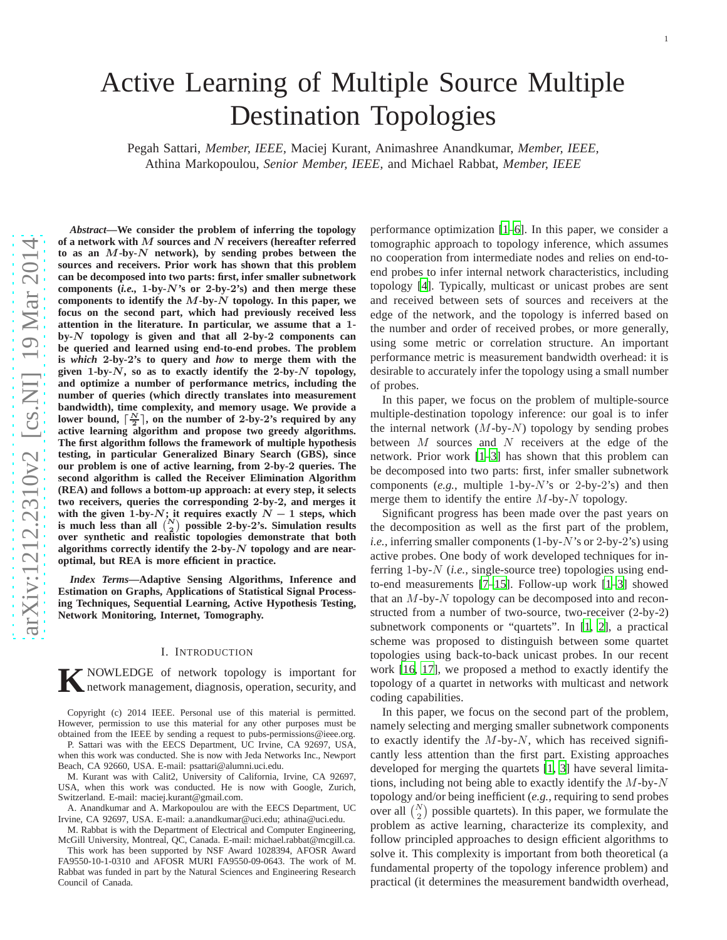# Active Learning of Multiple Source Multiple Destination Topologies

Pegah Sattari, *Member, IEEE,* Maciej Kurant, Animashree Anandkumar, *Member, IEEE,* Athina Markopoulou, *Senior Member, IEEE,* and Michael Rabbat, *Member, IEEE*

*Abstract***—We consider the problem of inferring the topology of a network with** M **sources and** N **receivers (hereafter referred to as an** M**-by-**N **network), by sending probes between the** sources and receivers. Prior work has shown that this problem **can be decomposed into two parts: first, infer smaller subnetwork components (***i.e.,* 1**-by-**N**'s or** 2**-by-**2**'s) and then merge these components to identify the** M**-by-**N **topology. In this paper, we focus on the second part, which had previously received less attention in the literature. In particular, we assume that a** 1  **by-**N **topology is given and that all** 2**-by-**2 **components can be queried and learned using end-to-end probes. The problem is** *which* 2**-by-**2**'s to query and** *how* **to merge them with the** given 1-by- $\dot{N}$ , so as to exactly identify the 2-by- $N$  topology, **and optimize a number of performance metrics, including the number of queries (which directly translates into measurement bandwidth), time complexity, and memory usage. We provide a** lower bound,  $\lceil \frac{N}{2} \rceil$ , on the number of 2-by-2's required by any **active learning algorithm and propose two greedy algorithms. The first algorithm follows the framework of multiple hypothesis testing, in particular Generalized Binary Search (GBS), since our problem is one of active learning, from** 2**-by-**2 **queries. The second algorithm is called the Receiver Elimination Algorithm (REA) and follows a bottom-up approach: at every step, it selects two receivers, queries the corresponding** 2**-by-**2**, and merges it** with the given  $1$ -by- $N$ ; it requires exactly  $N-1$  steps, which is much less than all  $\binom{N}{2}$  possible 2-by-2's. Simulation results **over synthetic and realistic topologies demonstrate that both algorithms correctly identify the** 2**-by-**N **topology and are nearoptimal, but REA is more efficient in practice.**

*Index Terms***—Adaptive Sensing Algorithms, Inference and Estimation on Graphs, Applications of Statistical Signal Processing Techniques, Sequential Learning, Active Hypothesis Testing, Network Monitoring, Internet, Tomography.**

#### I. INTRODUCTION

**K** NOWLEDGE of network topology is important for network management, diagnosis, operation, security, and network management, diagnosis, operation, security, and

Copyright (c) 2014 IEEE. Personal use of this material is permitted. However, permission to use this material for any other purposes must be obtained from the IEEE by sending a request to pubs-permissions@ieee.org.

P. Sattari was with the EECS Department, UC Irvine, CA 92697, USA, when this work was conducted. She is now with Jeda Networks Inc., Newport Beach, CA 92660, USA. E-mail: psattari@alumni.uci.edu.

M. Kurant was with Calit2, University of California, Irvine, CA 92697, USA, when this work was conducted. He is now with Google, Zurich, Switzerland. E-mail: maciej.kurant@gmail.com.

A. Anandkumar and A. Markopoulou are with the EECS Department, UC Irvine, CA 92697, USA. E-mail: a.anandkumar@uci.edu; athina@uci.edu.

M. Rabbat is with the Department of Electrical and Computer Engineering, McGill University, Montreal, QC, Canada. E-mail: michael.rabbat@mcgill.ca.

This work has been supported by NSF Award 1028394, AFOSR Awar d FA9550-10-1-0310 and AFOSR MURI FA9550-09-0643. The work of M. Rabbat was funded in part by the Natural Sciences and Engineering Research Council of Canada.

performance optimization [\[1](#page-10-0)[–6](#page-10-1)]. In this paper, we consider a tomographic approach to topology inference, which assumes no cooperation from intermediate nodes and relies on end-to end probes to infer internal network characteristics, including topology [\[4](#page-10-2)]. Typically, multicast or unicast probes are sent and received between sets of sources and receivers at the edge of the network, and the topology is inferred based on the number and order of received probes, or more generally, using some metric or correlation structure. An important performance metric is measurement bandwidth overhead: it i s desirable to accurately infer the topology using a small number of probes.

In this paper, we focus on the problem of multiple-source multiple-destination topology inference: our goal is to infer the internal network  $(M$ -by- $N)$  topology by sending probes between M sources and N receivers at the edge of the network. Prior work [\[1–](#page-10-0)[3\]](#page-10-3) has shown that this problem can be decomposed into two parts: first, infer smaller subnetwor k components (*e.g.,* multiple 1-by-N's or 2-by-2's) and then merge them to identify the entire  $M$ -by- $N$  topology.

Significant progress has been made over the past years on the decomposition as well as the first part of the problem, i.e., inferring smaller components (1-by-N's or 2-by-2's) using active probes. One body of work developed techniques for inferring 1-by-N (*i.e.,* single-source tree) topologies using endto-end measurements [\[7–](#page-10-4)[15\]](#page-10-5). Follow-up work [\[1](#page-10-0)[–3](#page-10-3)] showed that an M-by-N topology can be decomposed into and reconstructed from a number of two-source, two-receiver (2-by-2) subnetwork components or "quartets". In [\[1](#page-10-0), [2](#page-10-6)], a practical scheme was proposed to distinguish between some quartet topologies using back-to-back unicast probes. In our recen t work [\[16,](#page-10-7) [17\]](#page-10-8), we proposed a method to exactly identify the topology of a quartet in networks with multicast and network coding capabilities.

In this paper, we focus on the second part of the problem, namely selecting and merging smaller subnetwork component s to exactly identify the  $M$ -by- $N$ , which has received significantly less attention than the first part. Existing approaches developed for merging the quartets [\[1,](#page-10-0) [3\]](#page-10-3) have several limitations, including not being able to exactly identify the  $M$ -by- $N$ topology and/or being inefficient (*e.g.,* requiring to send probes over all  $\binom{N}{2}$  possible quartets). In this paper, we formulate the problem as active learning, characterize its complexity, and follow principled approaches to design efficient algorithms to solve it. This complexity is important from both theoretical (a fundamental property of the topology inference problem) an d practical (it determines the measurement bandwidth overhead,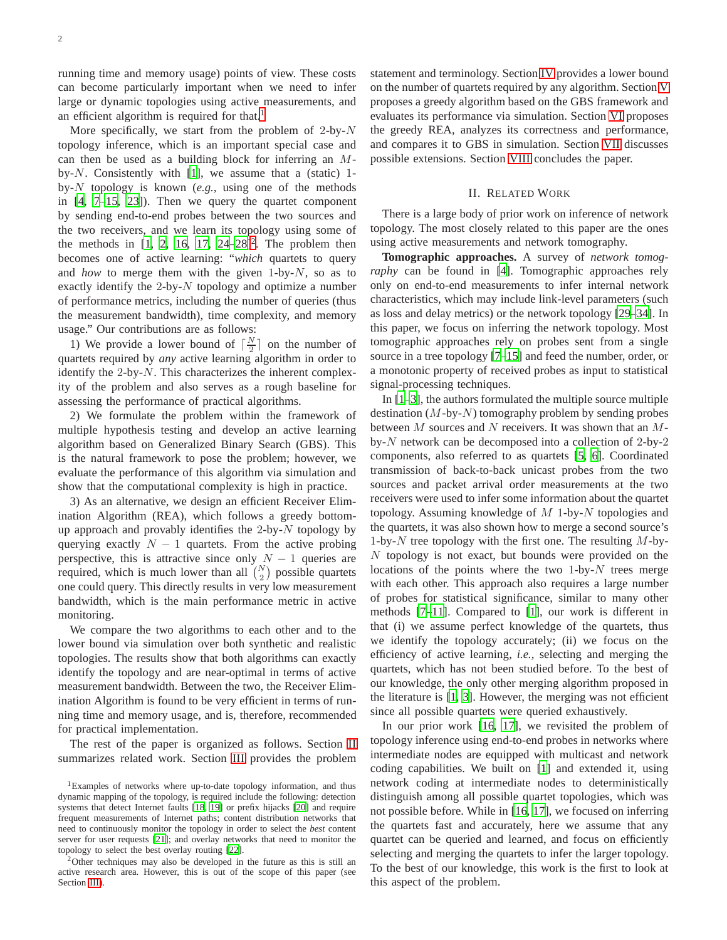running time and memory usage) points of view. These costs can become particularly important when we need to infer large or dynamic topologies using active measurements, and an efficient algorithm is required for that.<sup>[1](#page-1-0)</sup>

More specifically, we start from the problem of  $2$ -by- $N$ topology inference, which is an important special case and can then be used as a building block for inferring an Mby- $N$ . Consistently with [\[1\]](#page-10-0), we assume that a (static) 1by-N topology is known (*e.g.,* using one of the methods in [\[4,](#page-10-2) [7](#page-10-4)[–15](#page-10-5), [23](#page-10-9)]). Then we query the quartet component by sending end-to-end probes between the two sources and the two receivers, and we learn its topology using some of the methods in  $[1, 2, 16, 17, 24-28]^2$  $[1, 2, 16, 17, 24-28]^2$  $[1, 2, 16, 17, 24-28]^2$  $[1, 2, 16, 17, 24-28]^2$  $[1, 2, 16, 17, 24-28]^2$  $[1, 2, 16, 17, 24-28]^2$  $[1, 2, 16, 17, 24-28]^2$  $[1, 2, 16, 17, 24-28]^2$ . The problem then becomes one of active learning: "*which* quartets to query and *how* to merge them with the given 1-by-N, so as to exactly identify the 2-by- $N$  topology and optimize a number of performance metrics, including the number of queries (thus the measurement bandwidth), time complexity, and memory usage." Our contributions are as follows:

1) We provide a lower bound of  $\lceil \frac{N}{2} \rceil$  on the number of quartets required by *any* active learning algorithm in order to identify the  $2$ -by- $N$ . This characterizes the inherent complexity of the problem and also serves as a rough baseline for assessing the performance of practical algorithms.

2) We formulate the problem within the framework of multiple hypothesis testing and develop an active learning algorithm based on Generalized Binary Search (GBS). This is the natural framework to pose the problem; however, we evaluate the performance of this algorithm via simulation and show that the computational complexity is high in practice.

3) As an alternative, we design an efficient Receiver Elimination Algorithm (REA), which follows a greedy bottomup approach and provably identifies the 2-by- $N$  topology by querying exactly  $N - 1$  quartets. From the active probing perspective, this is attractive since only  $N - 1$  queries are required, which is much lower than all  $\binom{N}{2}$  possible quartets one could query. This directly results in very low measurement bandwidth, which is the main performance metric in active monitoring.

We compare the two algorithms to each other and to the lower bound via simulation over both synthetic and realistic topologies. The results show that both algorithms can exactly identify the topology and are near-optimal in terms of active measurement bandwidth. Between the two, the Receiver Elimination Algorithm is found to be very efficient in terms of running time and memory usage, and is, therefore, recommended for practical implementation.

The rest of the paper is organized as follows. Section [II](#page-1-2) summarizes related work. Section [III](#page-2-0) provides the problem

<span id="page-1-1"></span><sup>2</sup>Other techniques may also be developed in the future as this is still an active research area. However, this is out of the scope of this paper (see Section [III\)](#page-2-0).

statement and terminology. Section [IV](#page-3-0) provides a lower bound on the number of quartets required by any algorithm. Section [V](#page-4-0) proposes a greedy algorithm based on the GBS framework and evaluates its performance via simulation. Section [VI](#page-7-0) proposes the greedy REA, analyzes its correctness and performance, and compares it to GBS in simulation. Section [VII](#page-9-0) discusses possible extensions. Section [VIII](#page-9-1) concludes the paper.

#### II. RELATED WORK

<span id="page-1-2"></span>There is a large body of prior work on inference of network topology. The most closely related to this paper are the ones using active measurements and network tomography.

**Tomographic approaches.** A survey of *network tomography* can be found in [\[4\]](#page-10-2). Tomographic approaches rely only on end-to-end measurements to infer internal network characteristics, which may include link-level parameters (such as loss and delay metrics) or the network topology [\[29](#page-10-17)[–34](#page-11-0)]. In this paper, we focus on inferring the network topology. Most tomographic approaches rely on probes sent from a single source in a tree topology [\[7](#page-10-4)[–15\]](#page-10-5) and feed the number, order, or a monotonic property of received probes as input to statistical signal-processing techniques.

In [\[1](#page-10-0)[–3\]](#page-10-3), the authors formulated the multiple source multiple destination  $(M$ -by- $N)$  tomography problem by sending probes between  $M$  sources and  $N$  receivers. It was shown that an  $M$ by- $N$  network can be decomposed into a collection of 2-by-2 components, also referred to as quartets [\[5,](#page-10-18) [6\]](#page-10-1). Coordinated transmission of back-to-back unicast probes from the two sources and packet arrival order measurements at the two receivers were used to infer some information about the quartet topology. Assuming knowledge of  $M$  1-by- $N$  topologies and the quartets, it was also shown how to merge a second source's 1-by- $N$  tree topology with the first one. The resulting  $M$ -by- $N$  topology is not exact, but bounds were provided on the locations of the points where the two 1-by- $N$  trees merge with each other. This approach also requires a large number of probes for statistical significance, similar to many other methods [\[7](#page-10-4)[–11\]](#page-10-19). Compared to [\[1](#page-10-0)], our work is different in that (i) we assume perfect knowledge of the quartets, thus we identify the topology accurately; (ii) we focus on the efficiency of active learning, *i.e.,* selecting and merging the quartets, which has not been studied before. To the best of our knowledge, the only other merging algorithm proposed in the literature is [\[1](#page-10-0), [3\]](#page-10-3). However, the merging was not efficient since all possible quartets were queried exhaustively.

In our prior work [\[16](#page-10-7), [17\]](#page-10-8), we revisited the problem of topology inference using end-to-end probes in networks where intermediate nodes are equipped with multicast and network coding capabilities. We built on [\[1\]](#page-10-0) and extended it, using network coding at intermediate nodes to deterministically distinguish among all possible quartet topologies, which was not possible before. While in [\[16,](#page-10-7) [17](#page-10-8)], we focused on inferring the quartets fast and accurately, here we assume that any quartet can be queried and learned, and focus on efficiently selecting and merging the quartets to infer the larger topology. To the best of our knowledge, this work is the first to look at this aspect of the problem.

<span id="page-1-0"></span><sup>&</sup>lt;sup>1</sup>Examples of networks where up-to-date topology information, and thus dynamic mapping of the topology, is required include the following: detection systems that detect Internet faults [\[18](#page-10-12), [19](#page-10-13)] or prefix hijacks [\[20\]](#page-10-14) and require frequent measurements of Internet paths; content distribution networks that need to continuously monitor the topology in order to select the *best* content server for user requests [\[21](#page-10-15)]; and overlay networks that need to monitor the topology to select the best overlay routing [\[22](#page-10-16)].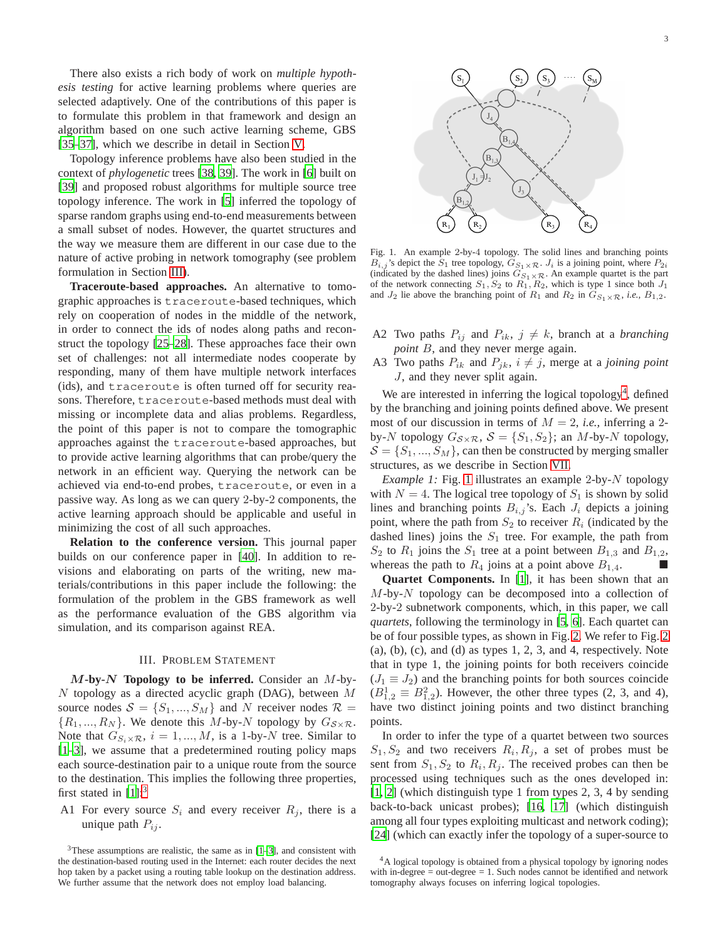There also exists a rich body of work on *multiple hypothesis testing* for active learning problems where queries are selected adaptively. One of the contributions of this paper is to formulate this problem in that framework and design an algorithm based on one such active learning scheme, GBS [\[35](#page-11-1)[–37](#page-11-2)], which we describe in detail in Section [V.](#page-4-0)

Topology inference problems have also been studied in the context of *phylogenetic* trees [\[38,](#page-11-3) [39](#page-11-4)]. The work in [\[6](#page-10-1)] built on [\[39](#page-11-4)] and proposed robust algorithms for multiple source tree topology inference. The work in [\[5\]](#page-10-18) inferred the topology of sparse random graphs using end-to-end measurements between a small subset of nodes. However, the quartet structures and the way we measure them are different in our case due to the nature of active probing in network tomography (see problem formulation in Section [III\)](#page-2-0).

**Traceroute-based approaches.** An alternative to tomographic approaches is traceroute-based techniques, which rely on cooperation of nodes in the middle of the network, in order to connect the ids of nodes along paths and reconstruct the topology [\[25](#page-10-20)[–28](#page-10-11)]. These approaches face their own set of challenges: not all intermediate nodes cooperate by responding, many of them have multiple network interfaces (ids), and traceroute is often turned off for security reasons. Therefore, traceroute-based methods must deal with missing or incomplete data and alias problems. Regardless, the point of this paper is not to compare the tomographic approaches against the traceroute-based approaches, but to provide active learning algorithms that can probe/query the network in an efficient way. Querying the network can be achieved via end-to-end probes, traceroute, or even in a passive way. As long as we can query 2-by-2 components, the active learning approach should be applicable and useful in minimizing the cost of all such approaches.

**Relation to the conference version.** This journal paper builds on our conference paper in [\[40\]](#page-11-5). In addition to revisions and elaborating on parts of the writing, new materials/contributions in this paper include the following: the formulation of the problem in the GBS framework as well as the performance evaluation of the GBS algorithm via simulation, and its comparison against REA.

#### III. PROBLEM STATEMENT

<span id="page-2-0"></span>M**-by-**N **Topology to be inferred.** Consider an M-by- $N$  topology as a directed acyclic graph (DAG), between  $M$ source nodes  $S = \{S_1, ..., S_M\}$  and N receiver nodes  $\mathcal{R} =$  $\{R_1, ..., R_N\}$ . We denote this M-by-N topology by  $G_{\mathcal{S}\times\mathcal{R}}$ . Note that  $G_{S_i \times \mathcal{R}}$ ,  $i = 1, ..., M$ , is a 1-by-N tree. Similar to [\[1](#page-10-0)[–3](#page-10-3)], we assume that a predetermined routing policy maps each source-destination pair to a unique route from the source to the destination. This implies the following three properties, first stated in  $[1]$ :<sup>[3](#page-2-1)</sup>

A1 For every source  $S_i$  and every receiver  $R_i$ , there is a unique path  $P_{ij}$ .



<span id="page-2-3"></span>Fig. 1. An example 2-by-4 topology. The solid lines and branching points  $B_{i,j}$ 's depict the  $S_1$  tree topology,  $G_{S_1 \times \mathcal{R}}$ .  $J_i$  is a joining point, where  $P_{2i}$ (indicated by the dashed lines) joins  $G_{S_1 \times R}$ . An example quartet is the part of the network connecting  $S_1, S_2$  to  $R_1, R_2$ , which is type 1 since both  $J_1$ and  $J_2$  lie above the branching point of  $R_1$  and  $R_2$  in  $\tilde{G}_{S_1\times R}$ , *i.e.*,  $B_{1,2}$ .

- A2 Two paths  $P_{ij}$  and  $P_{ik}$ ,  $j \neq k$ , branch at a *branching point* B, and they never merge again.
- A3 Two paths  $P_{ik}$  and  $P_{jk}$ ,  $i \neq j$ , merge at a *joining point* J, and they never split again.

We are interested in inferring the logical topology<sup>[4](#page-2-2)</sup>, defined by the branching and joining points defined above. We present most of our discussion in terms of  $M = 2$ , *i.e.*, inferring a 2by-N topology  $G_{\mathcal{S}\times\mathcal{R}}$ ,  $\mathcal{S} = \{S_1, S_2\}$ ; an M-by-N topology,  $S = \{S_1, ..., S_M\}$ , can then be constructed by merging smaller structures, as we describe in Section [VII.](#page-9-0)

*Example [1](#page-2-3):* Fig. 1 illustrates an example 2-by-N topology with  $N = 4$ . The logical tree topology of  $S_1$  is shown by solid lines and branching points  $B_{i,j}$ 's. Each  $J_i$  depicts a joining point, where the path from  $S_2$  to receiver  $R_i$  (indicated by the dashed lines) joins the  $S_1$  tree. For example, the path from  $S_2$  to  $R_1$  joins the  $S_1$  tree at a point between  $B_{1,3}$  and  $B_{1,2}$ , whereas the path to  $R_4$  joins at a point above  $B_{1,4}$ .

**Quartet Components.** In [\[1\]](#page-10-0), it has been shown that an  $M$ -by- $N$  topology can be decomposed into a collection of 2-by-2 subnetwork components, which, in this paper, we call *quartets*, following the terminology in [\[5,](#page-10-18) [6](#page-10-1)]. Each quartet can be of four possible types, as shown in Fig. [2.](#page-3-1) We refer to Fig. [2](#page-3-1)  $(a)$ ,  $(b)$ ,  $(c)$ , and  $(d)$  as types 1, 2, 3, and 4, respectively. Note that in type 1, the joining points for both receivers coincide  $(J_1 \equiv J_2)$  and the branching points for both sources coincide  $(B_{1,2}^1 \equiv B_{1,2}^2)$ . However, the other three types (2, 3, and 4), have two distinct joining points and two distinct branching points.

In order to infer the type of a quartet between two sources  $S_1, S_2$  and two receivers  $R_i, R_j$ , a set of probes must be sent from  $S_1, S_2$  to  $R_i, R_j$ . The received probes can then be processed using techniques such as the ones developed in: [\[1](#page-10-0), [2\]](#page-10-6) (which distinguish type 1 from types 2, 3, 4 by sending back-to-back unicast probes); [\[16,](#page-10-7) [17\]](#page-10-8) (which distinguish among all four types exploiting multicast and network coding); [\[24](#page-10-10)] (which can exactly infer the topology of a super-source to

<span id="page-2-1"></span> $3$ These assumptions are realistic, the same as in  $[1-3]$ , and consistent with the destination-based routing used in the Internet: each router decides the next hop taken by a packet using a routing table lookup on the destination address. We further assume that the network does not employ load balancing.

<span id="page-2-2"></span><sup>&</sup>lt;sup>4</sup>A logical topology is obtained from a physical topology by ignoring nodes with in-degree  $=$  out-degree  $=$  1. Such nodes cannot be identified and network tomography always focuses on inferring logical topologies.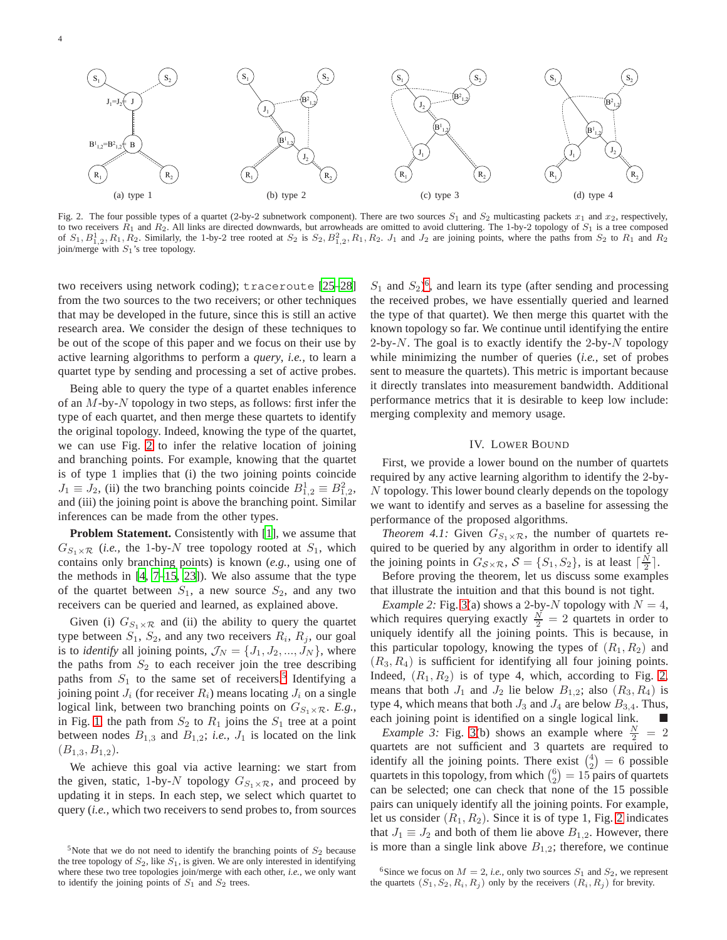

<span id="page-3-1"></span>Fig. 2. The four possible types of a quartet (2-by-2 subnetwork component). There are two sources  $S_1$  and  $S_2$  multicasting packets  $x_1$  and  $x_2$ , respectively, to two receivers  $R_1$  and  $R_2$ . All links are directed downwards, but arrowheads are omitted to avoid cluttering. The 1-by-2 topology of  $S_1$  is a tree composed of  $S_1$ ,  $B_{1,2}^1$ ,  $R_1$ ,  $R_2$ . Similarly, the 1-by-2 tree rooted at  $S_2$  is  $S_2$ ,  $B_{1,2}^2$ ,  $R_1$ ,  $R_2$ .  $J_1$  and  $J_2$  are joining points, where the paths from  $S_2$  to  $R_1$  and  $R_2$ join/merge with  $S_1$ 's tree topology.

two receivers using network coding); traceroute [\[25](#page-10-20)[–28\]](#page-10-11) from the two sources to the two receivers; or other techniques that may be developed in the future, since this is still an active research area. We consider the design of these techniques to be out of the scope of this paper and we focus on their use by active learning algorithms to perform a *query*, *i.e.,* to learn a quartet type by sending and processing a set of active probes.

Being able to query the type of a quartet enables inference of an  $M$ -by- $N$  topology in two steps, as follows: first infer the type of each quartet, and then merge these quartets to identify the original topology. Indeed, knowing the type of the quartet, we can use Fig. [2](#page-3-1) to infer the relative location of joining and branching points. For example, knowing that the quartet is of type 1 implies that (i) the two joining points coincide  $J_1 \equiv J_2$ , (ii) the two branching points coincide  $B_{1,2}^1 \equiv B_{1,2}^2$ , and (iii) the joining point is above the branching point. Similar inferences can be made from the other types.

**Problem Statement.** Consistently with [\[1](#page-10-0)], we assume that  $G_{S_1\times R}$  (*i.e.*, the 1-by-N tree topology rooted at  $S_1$ , which contains only branching points) is known (*e.g.,* using one of the methods in [\[4,](#page-10-2) [7](#page-10-4)[–15,](#page-10-5) [23](#page-10-9)]). We also assume that the type of the quartet between  $S_1$ , a new source  $S_2$ , and any two receivers can be queried and learned, as explained above.

Given (i)  $G_{S_1 \times \mathcal{R}}$  and (ii) the ability to query the quartet type between  $S_1$ ,  $S_2$ , and any two receivers  $R_i$ ,  $R_j$ , our goal is to *identify* all joining points,  $\mathcal{J}_N = \{J_1, J_2, ..., J_N\}$ , where the paths from  $S_2$  to each receiver join the tree describing paths from  $S_1$  to the same set of receivers.<sup>[5](#page-3-2)</sup> Identifying a joining point  $J_i$  (for receiver  $R_i$ ) means locating  $J_i$  on a single logical link, between two branching points on  $G_{S_1 \times \mathcal{R}}$ . *E.g.*, in Fig. [1,](#page-2-3) the path from  $S_2$  to  $R_1$  joins the  $S_1$  tree at a point between nodes  $B_{1,3}$  and  $B_{1,2}$ ; *i.e.*,  $J_1$  is located on the link  $(B_{1,3}, B_{1,2}).$ 

We achieve this goal via active learning: we start from the given, static, 1-by-N topology  $G_{S_1 \times \mathcal{R}}$ , and proceed by updating it in steps. In each step, we select which quartet to query (*i.e.,* which two receivers to send probes to, from sources

 $S_1$  and  $S_2$ <sup>[6](#page-3-3)</sup>, and learn its type (after sending and processing the received probes, we have essentially queried and learned the type of that quartet). We then merge this quartet with the known topology so far. We continue until identifying the entire 2-by-N. The goal is to exactly identify the 2-by-N topology while minimizing the number of queries (*i.e.,* set of probes sent to measure the quartets). This metric is important because it directly translates into measurement bandwidth. Additional performance metrics that it is desirable to keep low include: merging complexity and memory usage.

## <span id="page-3-4"></span>IV. LOWER BOUND

<span id="page-3-0"></span>First, we provide a lower bound on the number of quartets required by any active learning algorithm to identify the 2-by-N topology. This lower bound clearly depends on the topology we want to identify and serves as a baseline for assessing the performance of the proposed algorithms.

*Theorem 4.1:* Given  $G_{S_1 \times \mathcal{R}}$ , the number of quartets required to be queried by any algorithm in order to identify all the joining points in  $G_{\mathcal{S}\times\mathcal{R}}$ ,  $\mathcal{S} = \{S_1, S_2\}$ , is at least  $\lceil \frac{N}{2} \rceil$ .

Before proving the theorem, let us discuss some examples that illustrate the intuition and that this bound is not tight.

*Example 2:* Fig. [3\(](#page-4-1)a) shows a 2-by-N topology with  $N = 4$ , which requires querying exactly  $\frac{N}{2} = 2$  quartets in order to uniquely identify all the joining points. This is because, in this particular topology, knowing the types of  $(R_1, R_2)$  and  $(R_3, R_4)$  is sufficient for identifying all four joining points. Indeed,  $(R_1, R_2)$  is of type 4, which, according to Fig. [2,](#page-3-1) means that both  $J_1$  and  $J_2$  lie below  $B_{1,2}$ ; also  $(R_3, R_4)$  is type 4, which means that both  $J_3$  and  $J_4$  are below  $B_{3,4}$ . Thus, each joining point is identified on a single logical link.

*Example 3:* Fig. [3\(](#page-4-1)b) shows an example where  $\frac{N}{2} = 2$ quartets are not sufficient and 3 quartets are required to identify all the joining points. There exist  $\binom{4}{2} = 6$  possible quartets in this topology, from which  $\binom{6}{2} = 15$  pairs of quartets can be selected; one can check that none of the 15 possible pairs can uniquely identify all the joining points. For example, let us consider  $(R_1, R_2)$ . Since it is of type 1, Fig. [2](#page-3-1) indicates that  $J_1 \equiv J_2$  and both of them lie above  $B_{1,2}$ . However, there is more than a single link above  $B_{1,2}$ ; therefore, we continue

<span id="page-3-2"></span><sup>&</sup>lt;sup>5</sup>Note that we do not need to identify the branching points of  $S_2$  because the tree topology of  $S_2$ , like  $S_1$ , is given. We are only interested in identifying where these two tree topologies join/merge with each other, *i.e.,* we only want to identify the joining points of  $S_1$  and  $S_2$  trees.

<span id="page-3-3"></span><sup>&</sup>lt;sup>6</sup>Since we focus on  $M = 2$ , *i.e.*, only two sources  $S_1$  and  $S_2$ , we represent the quartets  $(S_1, S_2, R_i, R_j)$  only by the receivers  $(R_i, R_j)$  for brevity.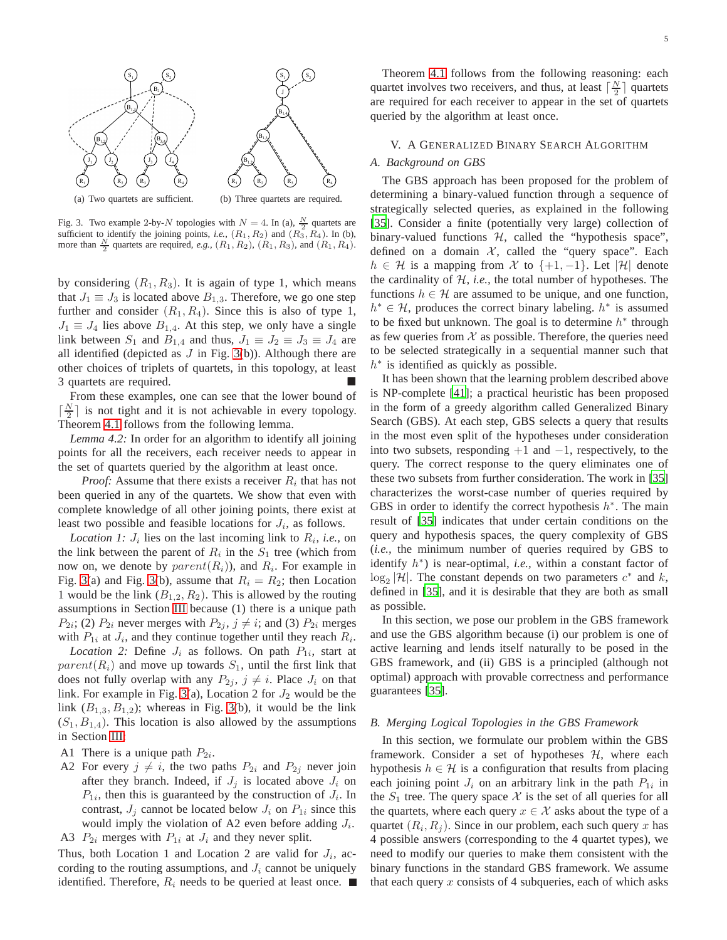

<span id="page-4-1"></span>Fig. 3. Two example 2-by-N topologies with  $N = 4$ . In (a),  $\frac{N}{2}$  quartets are sufficient to identify the joining points, *i.e.*,  $(R_1, R_2)$  and  $(R_3, R_4)$ . In (b), more than  $\frac{N}{2}$  quartets are required, *e.g.*,  $(R_1, R_2)$ ,  $(R_1, R_3)$ , and  $(R_1, R_4)$ .

by considering  $(R_1, R_3)$ . It is again of type 1, which means that  $J_1 \equiv J_3$  is located above  $B_{1,3}$ . Therefore, we go one step further and consider  $(R_1, R_4)$ . Since this is also of type 1,  $J_1 \equiv J_4$  lies above  $B_{1,4}$ . At this step, we only have a single link between  $S_1$  and  $B_{1,4}$  and thus,  $J_1 \equiv J_2 \equiv J_3 \equiv J_4$  are all identified (depicted as  $J$  in Fig. [3\(](#page-4-1)b)). Although there are other choices of triplets of quartets, in this topology, at least 3 quartets are required.

From these examples, one can see that the lower bound of  $\lceil \frac{N}{2} \rceil$  is not tight and it is not achievable in every topology. Theorem [4.1](#page-3-4) follows from the following lemma.

*Lemma 4.2:* In order for an algorithm to identify all joining points for all the receivers, each receiver needs to appear in the set of quartets queried by the algorithm at least once.

*Proof:* Assume that there exists a receiver  $R_i$  that has not been queried in any of the quartets. We show that even with complete knowledge of all other joining points, there exist at least two possible and feasible locations for  $J_i$ , as follows.

*Location 1:*  $J_i$  lies on the last incoming link to  $R_i$ , *i.e.*, on the link between the parent of  $R_i$  in the  $S_1$  tree (which from now on, we denote by  $parent(R_i)$ ), and  $R_i$ . For example in Fig. [3\(](#page-4-1)a) and Fig. 3(b), assume that  $R_i = R_2$ ; then Location 1 would be the link  $(B_{1,2}, R_2)$ . This is allowed by the routing assumptions in Section [III](#page-2-0) because (1) there is a unique path  $P_{2i}$ ; (2)  $P_{2i}$  never merges with  $P_{2j}$ ,  $j \neq i$ ; and (3)  $P_{2i}$  merges with  $P_{1i}$  at  $J_i$ , and they continue together until they reach  $R_i$ .

*Location 2:* Define  $J_i$  as follows. On path  $P_{1i}$ , start at  $parent(R_i)$  and move up towards  $S_1$ , until the first link that does not fully overlap with any  $P_{2j}$ ,  $j \neq i$ . Place  $J_i$  on that link. For example in Fig. [3\(](#page-4-1)a), Location 2 for  $J_2$  would be the link  $(B_{1,3}, B_{1,2})$ ; whereas in Fig. [3\(](#page-4-1)b), it would be the link  $(S_1, B_{1,4})$ . This location is also allowed by the assumptions in Section [III:](#page-2-0)

A1 There is a unique path  $P_{2i}$ .

A2 For every  $j \neq i$ , the two paths  $P_{2i}$  and  $P_{2j}$  never join after they branch. Indeed, if  $J_j$  is located above  $J_i$  on  $P_{1i}$ , then this is guaranteed by the construction of  $J_i$ . In contrast,  $J_i$  cannot be located below  $J_i$  on  $P_{1i}$  since this would imply the violation of A2 even before adding  $J_i$ .

A3  $P_{2i}$  merges with  $P_{1i}$  at  $J_i$  and they never split.

Thus, both Location 1 and Location 2 are valid for  $J_i$ , according to the routing assumptions, and  $J_i$  cannot be uniquely identified. Therefore,  $R_i$  needs to be queried at least once.  $\blacksquare$ 

Theorem [4.1](#page-3-4) follows from the following reasoning: each quartet involves two receivers, and thus, at least  $\lceil \frac{N}{2} \rceil$  quartets are required for each receiver to appear in the set of quartets queried by the algorithm at least once.

# <span id="page-4-0"></span>V. A GENERALIZED BINARY SEARCH ALGORITHM

## *A. Background on GBS*

The GBS approach has been proposed for the problem of determining a binary-valued function through a sequence of strategically selected queries, as explained in the following [\[35](#page-11-1)]. Consider a finite (potentially very large) collection of binary-valued functions  $H$ , called the "hypothesis space", defined on a domain  $X$ , called the "query space". Each  $h \in \mathcal{H}$  is a mapping from X to  $\{+1, -1\}$ . Let  $|\mathcal{H}|$  denote the cardinality of H, *i.e.,* the total number of hypotheses. The functions  $h \in \mathcal{H}$  are assumed to be unique, and one function,  $h^* \in \mathcal{H}$ , produces the correct binary labeling.  $h^*$  is assumed to be fixed but unknown. The goal is to determine  $h^*$  through as few queries from  $X$  as possible. Therefore, the queries need to be selected strategically in a sequential manner such that  $h^*$  is identified as quickly as possible.

It has been shown that the learning problem described above is NP-complete [\[41](#page-11-6)]; a practical heuristic has been proposed in the form of a greedy algorithm called Generalized Binary Search (GBS). At each step, GBS selects a query that results in the most even split of the hypotheses under consideration into two subsets, responding  $+1$  and  $-1$ , respectively, to the query. The correct response to the query eliminates one of these two subsets from further consideration. The work in [\[35\]](#page-11-1) characterizes the worst-case number of queries required by GBS in order to identify the correct hypothesis  $h^*$ . The main result of [\[35\]](#page-11-1) indicates that under certain conditions on the query and hypothesis spaces, the query complexity of GBS (*i.e.,* the minimum number of queries required by GBS to identify h ∗ ) is near-optimal, *i.e.,* within a constant factor of  $\log_2 |\mathcal{H}|$ . The constant depends on two parameters  $c^*$  and k, defined in [\[35](#page-11-1)], and it is desirable that they are both as small as possible.

In this section, we pose our problem in the GBS framework and use the GBS algorithm because (i) our problem is one of active learning and lends itself naturally to be posed in the GBS framework, and (ii) GBS is a principled (although not optimal) approach with provable correctness and performance guarantees [\[35\]](#page-11-1).

## *B. Merging Logical Topologies in the GBS Framework*

In this section, we formulate our problem within the GBS framework. Consider a set of hypotheses  $H$ , where each hypothesis  $h \in \mathcal{H}$  is a configuration that results from placing each joining point  $J_i$  on an arbitrary link in the path  $P_{1i}$  in the  $S_1$  tree. The query space X is the set of all queries for all the quartets, where each query  $x \in \mathcal{X}$  asks about the type of a quartet  $(R_i, R_j)$ . Since in our problem, each such query x has 4 possible answers (corresponding to the 4 quartet types), we need to modify our queries to make them consistent with the binary functions in the standard GBS framework. We assume that each query  $x$  consists of 4 subqueries, each of which asks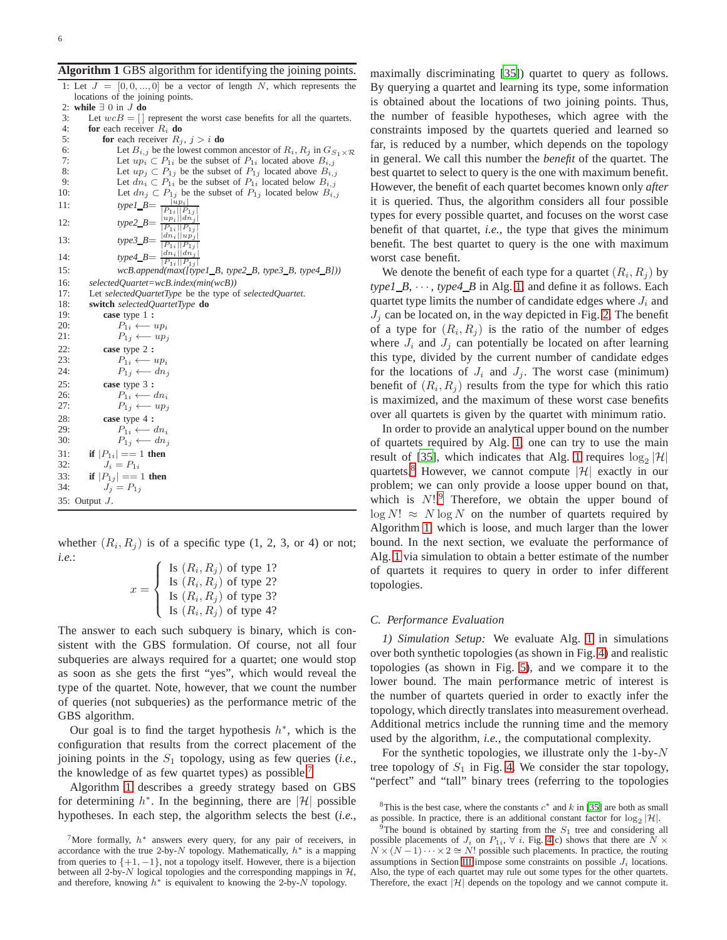<span id="page-5-1"></span>**Algorithm 1** GBS algorithm for identifying the joining points.

| 1: Let $J = [0, 0, , 0]$ be a vector of length N, which represents the                                                                                                                                                                                                                                            |
|-------------------------------------------------------------------------------------------------------------------------------------------------------------------------------------------------------------------------------------------------------------------------------------------------------------------|
| locations of the joining points.                                                                                                                                                                                                                                                                                  |
| while $\exists$ 0 in <i>J</i> do<br>2:                                                                                                                                                                                                                                                                            |
| 3:<br>Let $wcB = []$ represent the worst case benefits for all the quartets.                                                                                                                                                                                                                                      |
| 4:<br>for each receiver $R_i$ do                                                                                                                                                                                                                                                                                  |
| 5:<br>for each receiver $R_i$ , $j > i$ do                                                                                                                                                                                                                                                                        |
| 6:<br>Let $B_{i,j}$ be the lowest common ancestor of $R_i, R_j$ in $G_{S_1 \times \mathcal{R}}$                                                                                                                                                                                                                   |
| Let $up_i \subset P_{1i}$ be the subset of $P_{1i}$ located above $B_{i,j}$<br>7:                                                                                                                                                                                                                                 |
| 8:<br>Let $up_i \,\subset P_{1i}$ be the subset of $P_{1i}$ located above $B_{i,j}$                                                                                                                                                                                                                               |
| Let $dn_i \,\subset P_{1i}$ be the subset of $P_{1i}$ located below $B_{i,j}$<br>9:                                                                                                                                                                                                                               |
| Let $dn_j \,\subset P_{1j}$ be the subset of $P_{1j}$ located below $B_{i,j}$<br>10:                                                                                                                                                                                                                              |
| 11:                                                                                                                                                                                                                                                                                                               |
|                                                                                                                                                                                                                                                                                                                   |
| 12:                                                                                                                                                                                                                                                                                                               |
| 13:                                                                                                                                                                                                                                                                                                               |
|                                                                                                                                                                                                                                                                                                                   |
| $\begin{array}{l} \text{Let any } \infty \text{ and } \text{p} = \frac{ u_{p_i} }{ P_{1i}   P_{1j} } \\ \text{type2\_B} = \frac{ u_{p_i} }{ P_{1i}   P_{1j} } \\ \text{type3\_B} = \frac{ d n_i   u_{p_j} }{ P_{1i}   P_{1j} } \\ \text{type4\_B} = \frac{ d n_i   d n_j }{ P_{1i}   P_{1j} } \end{array}$<br>14: |
| wcB.append(max([type1_B, type2_B, type3_B, type4_B]))<br>15:                                                                                                                                                                                                                                                      |
| 16:<br>$selectedQuartet = wcB$ . index(min(wcB))                                                                                                                                                                                                                                                                  |
| 17:<br>Let selectedQuartetType be the type of selectedQuartet.                                                                                                                                                                                                                                                    |
| 18:<br>switch selectedQuartetType do                                                                                                                                                                                                                                                                              |
| 19:<br>case type 1 :                                                                                                                                                                                                                                                                                              |
| 20:<br>$P_{1i} \longleftarrow up_i$                                                                                                                                                                                                                                                                               |
| 21:<br>$P_{1i} \longleftarrow up_i$                                                                                                                                                                                                                                                                               |
| 22:<br>case type 2 :                                                                                                                                                                                                                                                                                              |
| 23:<br>$P_{1i} \longleftarrow up_i$                                                                                                                                                                                                                                                                               |
| 24:<br>$P_{1i} \longleftarrow dn_i$                                                                                                                                                                                                                                                                               |
| 25:<br>case type 3 :                                                                                                                                                                                                                                                                                              |
| 26:<br>$P_{1i} \longleftarrow dn_i$                                                                                                                                                                                                                                                                               |
| 27:<br>$P_{1i} \longleftarrow up_i$                                                                                                                                                                                                                                                                               |
| 28:<br>case type 4 :                                                                                                                                                                                                                                                                                              |
| $P_{1i} \longleftarrow dn_i$<br>29:                                                                                                                                                                                                                                                                               |
| $P_{1j} \longleftarrow dn_j$<br>30:                                                                                                                                                                                                                                                                               |
| if $ P_{1i}  == 1$ then<br>31:                                                                                                                                                                                                                                                                                    |
| $J_i = P_{1i}$<br>32:                                                                                                                                                                                                                                                                                             |
| if $ P_{1i}  == 1$ then<br>33:                                                                                                                                                                                                                                                                                    |
| $J_i = P_{1i}$<br>34:                                                                                                                                                                                                                                                                                             |
| 35: Output $J$ .                                                                                                                                                                                                                                                                                                  |
|                                                                                                                                                                                                                                                                                                                   |

whether  $(R_i, R_j)$  is of a specific type  $(1, 2, 3, 0r 4)$  or not; *i.e.*:

| Is $(R_i, R_j)$ of type 1? |  |
|----------------------------|--|
| Is $(R_i, R_j)$ of type 2? |  |
| Is $(R_i, R_j)$ of type 3? |  |
| Is $(R_i, R_j)$ of type 4? |  |

The answer to each such subquery is binary, which is consistent with the GBS formulation. Of course, not all four subqueries are always required for a quartet; one would stop as soon as she gets the first "yes", which would reveal the type of the quartet. Note, however, that we count the number of queries (not subqueries) as the performance metric of the GBS algorithm.

Our goal is to find the target hypothesis  $h^*$ , which is the configuration that results from the correct placement of the joining points in the  $S_1$  topology, using as few queries (*i.e.*, the knowledge of as few quartet types) as possible.<sup>[7](#page-5-0)</sup>

Algorithm [1](#page-5-1) describes a greedy strategy based on GBS for determining  $h^*$ . In the beginning, there are |H| possible hypotheses. In each step, the algorithm selects the best (*i.e.,*

maximally discriminating [\[35\]](#page-11-1)) quartet to query as follows. By querying a quartet and learning its type, some information is obtained about the locations of two joining points. Thus, the number of feasible hypotheses, which agree with the constraints imposed by the quartets queried and learned so far, is reduced by a number, which depends on the topology in general. We call this number the *benefit* of the quartet. The best quartet to select to query is the one with maximum benefit. However, the benefit of each quartet becomes known only *after* it is queried. Thus, the algorithm considers all four possible types for every possible quartet, and focuses on the worst case benefit of that quartet, *i.e.,* the type that gives the minimum benefit. The best quartet to query is the one with maximum worst case benefit.

We denote the benefit of each type for a quartet  $(R_i, R_j)$  by  $type1_B$ ,  $\cdots$ ,  $type4_B$  in Alg. [1,](#page-5-1) and define it as follows. Each quartet type limits the number of candidate edges where  $J_i$  and  $J_i$  can be located on, in the way depicted in Fig. [2.](#page-3-1) The benefit of a type for  $(R_i, R_j)$  is the ratio of the number of edges where  $J_i$  and  $J_j$  can potentially be located on after learning this type, divided by the current number of candidate edges for the locations of  $J_i$  and  $J_j$ . The worst case (minimum) benefit of  $(R_i, R_j)$  results from the type for which this ratio is maximized, and the maximum of these worst case benefits over all quartets is given by the quartet with minimum ratio.

In order to provide an analytical upper bound on the number of quartets required by Alg. [1,](#page-5-1) one can try to use the main result of [\[35\]](#page-11-1), which indicates that Alg. [1](#page-5-1) requires  $\log_2 |\mathcal{H}|$ quartets.<sup>[8](#page-5-2)</sup> However, we cannot compute  $|\mathcal{H}|$  exactly in our problem; we can only provide a loose upper bound on that, which is  $N!$ .<sup>[9](#page-5-3)</sup> Therefore, we obtain the upper bound of  $\log N! \approx N \log N$  on the number of quartets required by Algorithm [1,](#page-5-1) which is loose, and much larger than the lower bound. In the next section, we evaluate the performance of Alg. [1](#page-5-1) via simulation to obtain a better estimate of the number of quartets it requires to query in order to infer different topologies.

## <span id="page-5-4"></span>*C. Performance Evaluation*

*1) Simulation Setup:* We evaluate Alg. [1](#page-5-1) in simulations over both synthetic topologies (as shown in Fig. [4\)](#page-6-0) and realistic topologies (as shown in Fig. [5\)](#page-6-1), and we compare it to the lower bound. The main performance metric of interest is the number of quartets queried in order to exactly infer the topology, which directly translates into measurement overhead. Additional metrics include the running time and the memory used by the algorithm, *i.e.,* the computational complexity.

For the synthetic topologies, we illustrate only the 1-by- $N$ tree topology of  $S_1$  in Fig. [4.](#page-6-0) We consider the star topology, "perfect" and "tall" binary trees (referring to the topologies

<span id="page-5-0"></span> $7$ More formally,  $h^*$  answers every query, for any pair of receivers, in accordance with the true 2-by-N topology. Mathematically,  $h^*$  is a mapping from queries to  $\{+1, -1\}$ , not a topology itself. However, there is a bijection between all 2-by- $N$  logical topologies and the corresponding mappings in  $H$ , and therefore, knowing  $h^*$  is equivalent to knowing the 2-by- $N$  topology.

<span id="page-5-2"></span><sup>&</sup>lt;sup>8</sup>This is the best case, where the constants  $c^*$  and k in [\[35\]](#page-11-1) are both as small as possible. In practice, there is an additional constant factor for  $\log_2 |\mathcal{H}|$ .

<span id="page-5-3"></span><sup>&</sup>lt;sup>9</sup>The bound is obtained by starting from the  $S_1$  tree and considering all possible placements of  $J_i$  on  $P_{1i}$ ,  $\forall i$ . Fig. [4\(](#page-6-0)c) shows that there are  $N \times$  $N \times (N-1) \cdots \times 2 \cong N!$  possible such placements. In practice, the routing assumptions in Section [III](#page-2-0) impose some constraints on possible  $J_i$  locations. Also, the type of each quartet may rule out some types for the other quartets. Therefore, the exact  $|\mathcal{H}|$  depends on the topology and we cannot compute it.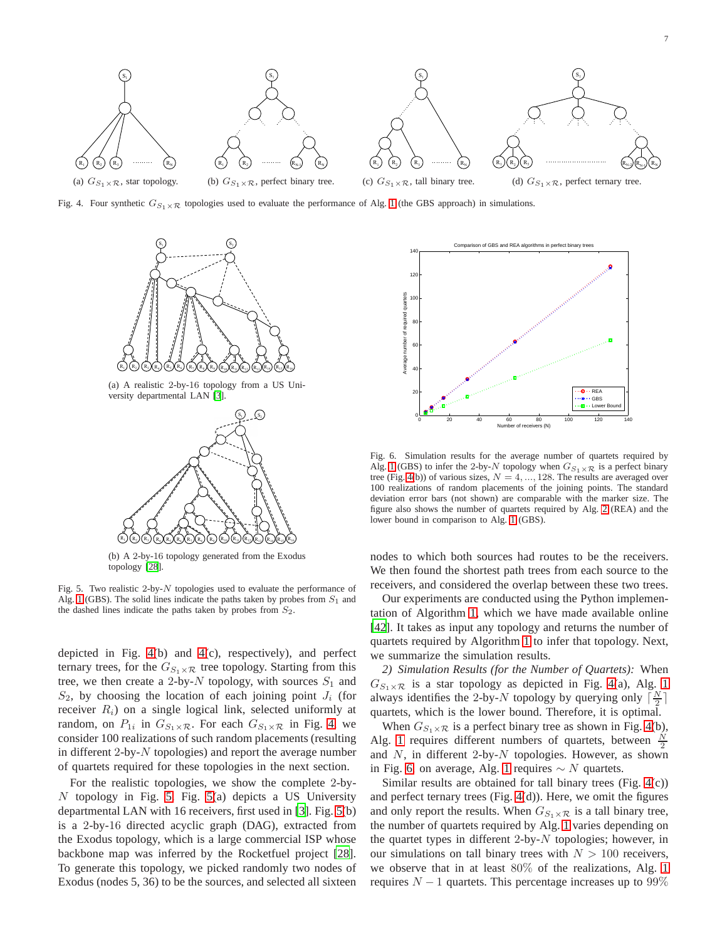7



Fig. 4. Four synthetic  $G_{S_1\times T_2}$  topologies used to evaluate the performance of Alg. [1](#page-5-1) (the GBS approach) in simulations.

<span id="page-6-0"></span>

(a) A realistic 2-by-16 topology from a US University departmental LAN [\[3\]](#page-10-3).



(b) A 2-by-16 topology generated from the Exodus topology [\[28](#page-10-11)].

<span id="page-6-1"></span>Fig. 5. Two realistic 2-by- $N$  topologies used to evaluate the performance of Alg. [1](#page-5-1) (GBS). The solid lines indicate the paths taken by probes from  $S_1$  and the dashed lines indicate the paths taken by probes from  $S_2$ .

depicted in Fig. [4\(](#page-6-0)b) and [4\(](#page-6-0)c), respectively), and perfect ternary trees, for the  $G_{S_1 \times \mathcal{R}}$  tree topology. Starting from this tree, we then create a 2-by-N topology, with sources  $S_1$  and  $S_2$ , by choosing the location of each joining point  $J_i$  (for receiver  $R_i$ ) on a single logical link, selected uniformly at random, on  $P_{1i}$  in  $G_{S_1 \times \mathcal{R}}$ . For each  $G_{S_1 \times \mathcal{R}}$  in Fig. [4,](#page-6-0) we consider 100 realizations of such random placements (resulting in different 2-by- $N$  topologies) and report the average number of quartets required for these topologies in the next section.

For the realistic topologies, we show the complete 2-by-N topology in Fig. [5.](#page-6-1) Fig. [5\(](#page-6-1)a) depicts a US University departmental LAN with 16 receivers, first used in [\[3\]](#page-10-3). Fig. [5\(](#page-6-1)b) is a 2-by-16 directed acyclic graph (DAG), extracted from the Exodus topology, which is a large commercial ISP whose backbone map was inferred by the Rocketfuel project [\[28](#page-10-11)]. To generate this topology, we picked randomly two nodes of Exodus (nodes 5, 36) to be the sources, and selected all sixteen



<span id="page-6-2"></span>Fig. 6. Simulation results for the average number of quartets required by Alg. [1](#page-5-1) (GBS) to infer the 2-by-N topology when  $G_{S_1 \times \mathcal{R}}$  is a perfect binary tree (Fig. [4\(](#page-6-0)b)) of various sizes,  $N = 4, ..., 128$ . The results are averaged over 100 realizations of random placements of the joining points. The standard deviation error bars (not shown) are comparable with the marker size. The figure also shows the number of quartets required by Alg. [2](#page-7-1) (REA) and the lower bound in comparison to Alg. [1](#page-5-1) (GBS).

nodes to which both sources had routes to be the receivers. We then found the shortest path trees from each source to the receivers, and considered the overlap between these two trees.

Our experiments are conducted using the Python implementation of Algorithm [1,](#page-5-1) which we have made available online [\[42](#page-11-7)]. It takes as input any topology and returns the number of quartets required by Algorithm [1](#page-5-1) to infer that topology. Next, we summarize the simulation results.

*2) Simulation Results (for the Number of Quartets):* When  $G_{S_1 \times R}$  is a star topology as depicted in Fig. [4\(](#page-6-0)a), Alg. [1](#page-5-1) always identifies the 2-by-N topology by querying only  $\lceil \frac{N}{2} \rceil$ quartets, which is the lower bound. Therefore, it is optimal.

When  $G_{S_1\times R}$  is a perfect binary tree as shown in Fig. [4\(](#page-6-0)b), Alg. [1](#page-5-1) requires different numbers of quartets, between  $\frac{N}{2}$ and  $N$ , in different 2-by- $N$  topologies. However, as shown in Fig. [6,](#page-6-2) on average, Alg. [1](#page-5-1) requires  $\sim N$  quartets.

Similar results are obtained for tall binary trees (Fig. [4\(](#page-6-0)c)) and perfect ternary trees (Fig. [4\(](#page-6-0)d)). Here, we omit the figures and only report the results. When  $G_{S_1 \times \mathcal{R}}$  is a tall binary tree, the number of quartets required by Alg. [1](#page-5-1) varies depending on the quartet types in different 2-by- $N$  topologies; however, in our simulations on tall binary trees with  $N > 100$  receivers, we observe that in at least 80% of the realizations, Alg. [1](#page-5-1) requires  $N - 1$  quartets. This percentage increases up to 99%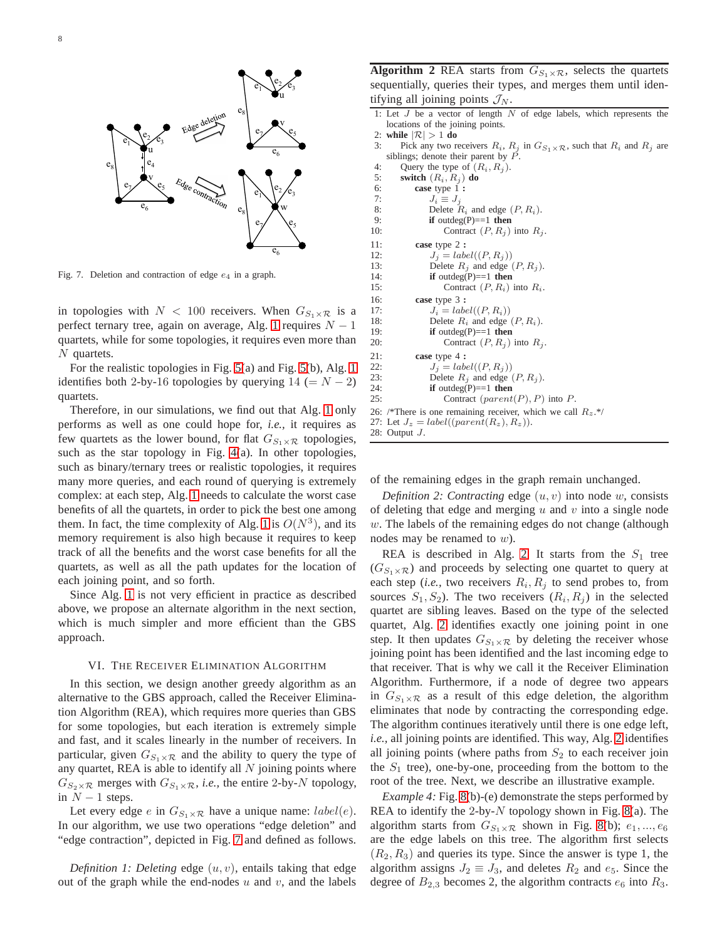

<span id="page-7-2"></span>Fig. 7. Deletion and contraction of edge  $e_4$  in a graph.

in topologies with  $N < 100$  receivers. When  $G_{S_1 \times \mathcal{R}}$  is a perfect ternary tree, again on average, Alg. [1](#page-5-1) requires  $N - 1$ quartets, while for some topologies, it requires even more than N quartets.

For the realistic topologies in Fig. [5\(](#page-6-1)a) and Fig. [5\(](#page-6-1)b), Alg. [1](#page-5-1) identifies both 2-by-16 topologies by querying  $14 (= N - 2)$ quartets.

Therefore, in our simulations, we find out that Alg. [1](#page-5-1) only performs as well as one could hope for, *i.e.,* it requires as few quartets as the lower bound, for flat  $G_{S_1\times R}$  topologies, such as the star topology in Fig. [4\(](#page-6-0)a). In other topologies, such as binary/ternary trees or realistic topologies, it requires many more queries, and each round of querying is extremely complex: at each step, Alg. [1](#page-5-1) needs to calculate the worst case benefits of all the quartets, in order to pick the best one among them. In fact, the time complexity of Alg. [1](#page-5-1) is  $O(N^3)$ , and its memory requirement is also high because it requires to keep track of all the benefits and the worst case benefits for all the quartets, as well as all the path updates for the location of each joining point, and so forth.

Since Alg. [1](#page-5-1) is not very efficient in practice as described above, we propose an alternate algorithm in the next section, which is much simpler and more efficient than the GBS approach.

## VI. THE RECEIVER ELIMINATION ALGORITHM

<span id="page-7-0"></span>In this section, we design another greedy algorithm as an alternative to the GBS approach, called the Receiver Elimination Algorithm (REA), which requires more queries than GBS for some topologies, but each iteration is extremely simple and fast, and it scales linearly in the number of receivers. In particular, given  $G_{S_1\times R}$  and the ability to query the type of any quartet, REA is able to identify all  $N$  joining points where  $G_{S_2\times R}$  merges with  $G_{S_1\times R}$ , *i.e.*, the entire 2-by-N topology, in  $N-1$  steps.

Let every edge e in  $G_{S_1 \times \mathcal{R}}$  have a unique name:  $label(e)$ . In our algorithm, we use two operations "edge deletion" and "edge contraction", depicted in Fig. [7](#page-7-2) and defined as follows.

*Definition 1: Deleting* edge  $(u, v)$ , entails taking that edge out of the graph while the end-nodes  $u$  and  $v$ , and the labels

<span id="page-7-1"></span>**Algorithm 2** REA starts from  $G_{S_1 \times R}$ , selects the quartets sequentially, queries their types, and merges them until identifying all joining points  $\mathcal{J}_N$ .

|                                  |  |  |  |  |  |  |  |  |  |  |  | 1: Let $J$ be a vector of length $N$ of edge labels, which represents the |  |
|----------------------------------|--|--|--|--|--|--|--|--|--|--|--|---------------------------------------------------------------------------|--|
| locations of the joining points. |  |  |  |  |  |  |  |  |  |  |  |                                                                           |  |
| $\sim$                           |  |  |  |  |  |  |  |  |  |  |  |                                                                           |  |

```
2: while |\mathcal{R}| > 1 do
```
3: Pick any two receivers  $R_i$ ,  $R_j$  in  $G_{S_1 \times R}$ , such that  $R_i$  and  $R_j$  are siblings; denote their parent by  $\overrightarrow{P}$ .

```
4: Query the type of (R_i, R_j).<br>5: switch (R_i, R_j) do
 5: switch (R_i, R_j) do<br>6: case type 1:
            6: case type 1 :
 7: J_i \equiv J_j<br>8: Delete
 8: Delete R_i and edge (P, R_i).<br>9: if outdeg(P)==1 then
                if outdeg(P) == 1 then
10: Contract (P, R_i) into R_i.
11: case type 2 :
12: J_j = label((P, R_j))<br>13: Delete R_i and edge (
13: Delete R_j and edge (P, R_j).<br>14: if outdeg(P)==1 then
                if outdeg(P) == 1 then
15: Contract (P, R_i) into R_i.
16: case type 3 :
17: J_i = label((P, R_i))<br>18: Delete R_i and edge
18: Delete R_i and edge (P, R_i).<br>19: if outdeg(P)==1 then
19: if outdeg(P)==1 then<br>20: Contract (P, R_a)Contract (P, R_i) into R_i.
21: case type 4 :
22: J_j = label((P, R_j))23: Delete R_j and edge (P, R_j).
24: if outdeg(P)==1 then<br>25: Contract (parenti
                    Contract (parent(P), P) into P.
26: /*There is one remaining receiver, which we call R_z.*/27: Let J_z = label((parent(R_z), R_z)).28: Output J.
```
of the remaining edges in the graph remain unchanged.

*Definition 2: Contracting* edge  $(u, v)$  into node  $w$ , consists of deleting that edge and merging  $u$  and  $v$  into a single node  $w$ . The labels of the remaining edges do not change (although nodes may be renamed to w).

REA is described in Alg. [2.](#page-7-1) It starts from the  $S_1$  tree  $(G_{S_1\times R})$  and proceeds by selecting one quartet to query at each step (*i.e.*, two receivers  $R_i, R_j$  to send probes to, from sources  $S_1, S_2$ ). The two receivers  $(R_i, R_j)$  in the selected quartet are sibling leaves. Based on the type of the selected quartet, Alg. [2](#page-7-1) identifies exactly one joining point in one step. It then updates  $G_{S_1 \times \mathcal{R}}$  by deleting the receiver whose joining point has been identified and the last incoming edge to that receiver. That is why we call it the Receiver Elimination Algorithm. Furthermore, if a node of degree two appears in  $G_{S_1 \times \mathcal{R}}$  as a result of this edge deletion, the algorithm eliminates that node by contracting the corresponding edge. The algorithm continues iteratively until there is one edge left, *i.e.,* all joining points are identified. This way, Alg. [2](#page-7-1) identifies all joining points (where paths from  $S_2$  to each receiver join the  $S_1$  tree), one-by-one, proceeding from the bottom to the root of the tree. Next, we describe an illustrative example.

*Example 4:* Fig. [8\(](#page-8-0)b)-(e) demonstrate the steps performed by REA to identify the 2-by- $N$  topology shown in Fig. [8\(](#page-8-0)a). The algorithm starts from  $G_{S_1 \times \mathcal{R}}$  shown in Fig. [8\(](#page-8-0)b);  $e_1, ..., e_6$ are the edge labels on this tree. The algorithm first selects  $(R_2, R_3)$  and queries its type. Since the answer is type 1, the algorithm assigns  $J_2 \equiv J_3$ , and deletes  $R_2$  and  $e_5$ . Since the degree of  $B_{2,3}$  becomes 2, the algorithm contracts  $e_6$  into  $R_3$ .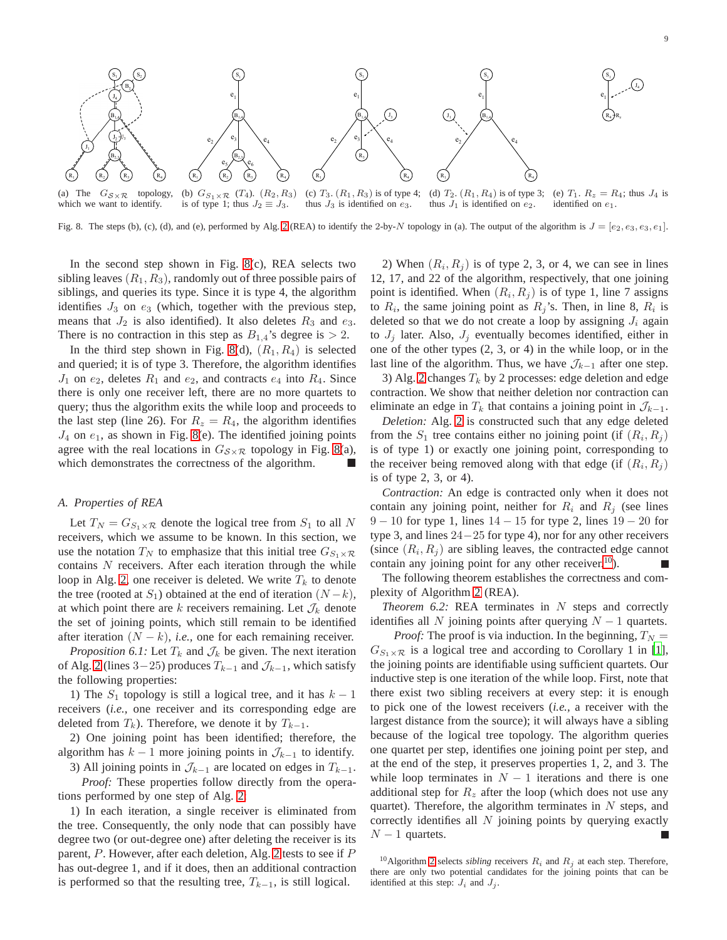$R_4$ 

 $\frac{1}{2}R_z$ 

 $S_1$ 

 $e_1$ 

 $J_4$ 



(a) The  $G_{\mathcal{S}\times\mathcal{R}}$  topology, which we want to identify. (b)  $G_{S_1 \times R}$  (T<sub>4</sub>).  $(R_2, R_3)$ is of type 1; thus  $J_2 \equiv J_3$ . (c)  $T_3$ .  $(R_1, R_3)$  is of type 4; thus  $J_3$  is identified on  $e_3$ . (d)  $T_2$ .  $(R_1, R_4)$  is of type 3; thus  $J_1$  is identified on  $e_2$ . (e)  $T_1$ .  $R_z = R_4$ ; thus  $J_4$  is identified on e1.

<span id="page-8-0"></span>Fig. 8. The steps (b), (c), (d), and (e), performed by Alg. [2](#page-7-1) (REA) to identify the 2-by-N topology in (a). The output of the algorithm is  $J = [e_2, e_3, e_3, e_1]$ .

In the second step shown in Fig. [8\(](#page-8-0)c), REA selects two sibling leaves  $(R_1, R_3)$ , randomly out of three possible pairs of siblings, and queries its type. Since it is type 4, the algorithm identifies  $J_3$  on  $e_3$  (which, together with the previous step, means that  $J_2$  is also identified). It also deletes  $R_3$  and  $e_3$ . There is no contraction in this step as  $B_{1,4}$ 's degree is  $> 2$ .

In the third step shown in Fig. [8\(](#page-8-0)d),  $(R_1, R_4)$  is selected and queried; it is of type 3. Therefore, the algorithm identifies  $J_1$  on  $e_2$ , deletes  $R_1$  and  $e_2$ , and contracts  $e_4$  into  $R_4$ . Since there is only one receiver left, there are no more quartets to query; thus the algorithm exits the while loop and proceeds to the last step (line 26). For  $R_z = R_4$ , the algorithm identifies  $J_4$  on  $e_1$ , as shown in Fig. [8\(](#page-8-0)e). The identified joining points agree with the real locations in  $G_{\mathcal{S}\times\mathcal{R}}$  topology in Fig. [8\(](#page-8-0)a), which demonstrates the correctness of the algorithm.

## *A. Properties of REA*

Let  $T_N = G_{S_1 \times \mathcal{R}}$  denote the logical tree from  $S_1$  to all N receivers, which we assume to be known. In this section, we use the notation  $T_N$  to emphasize that this initial tree  $G_{S_1\times \mathcal{R}}$ contains  $N$  receivers. After each iteration through the while loop in Alg. [2,](#page-7-1) one receiver is deleted. We write  $T_k$  to denote the tree (rooted at  $S_1$ ) obtained at the end of iteration  $(N-k)$ , at which point there are k receivers remaining. Let  $\mathcal{J}_k$  denote the set of joining points, which still remain to be identified after iteration  $(N - k)$ , *i.e.*, one for each remaining receiver.

*Proposition 6.1:* Let  $T_k$  and  $\mathcal{J}_k$  be given. The next iteration of Alg. [2](#page-7-1) (lines 3–25) produces  $T_{k-1}$  and  $\mathcal{J}_{k-1}$ , which satisfy the following properties:

1) The  $S_1$  topology is still a logical tree, and it has  $k-1$ receivers (*i.e.,* one receiver and its corresponding edge are deleted from  $T_k$ ). Therefore, we denote it by  $T_{k-1}$ .

2) One joining point has been identified; therefore, the algorithm has  $k - 1$  more joining points in  $\mathcal{J}_{k-1}$  to identify.

3) All joining points in  $\mathcal{J}_{k-1}$  are located on edges in  $T_{k-1}$ . *Proof:* These properties follow directly from the operations performed by one step of Alg. [2:](#page-7-1)

1) In each iteration, a single receiver is eliminated from the tree. Consequently, the only node that can possibly have degree two (or out-degree one) after deleting the receiver is its parent, P. However, after each deletion, Alg. [2](#page-7-1) tests to see if P has out-degree 1, and if it does, then an additional contraction is performed so that the resulting tree,  $T_{k-1}$ , is still logical.

2) When  $(R_i, R_j)$  is of type 2, 3, or 4, we can see in lines 12, 17, and 22 of the algorithm, respectively, that one joining point is identified. When  $(R_i, R_j)$  is of type 1, line 7 assigns to  $R_i$ , the same joining point as  $R_j$ 's. Then, in line 8,  $R_i$  is deleted so that we do not create a loop by assigning  $J_i$  again to  $J_j$  later. Also,  $J_j$  eventually becomes identified, either in one of the other types (2, 3, or 4) in the while loop, or in the last line of the algorithm. Thus, we have  $\mathcal{J}_{k-1}$  after one step.

3) Alg. [2](#page-7-1) changes  $T_k$  by 2 processes: edge deletion and edge contraction. We show that neither deletion nor contraction can eliminate an edge in  $T_k$  that contains a joining point in  $\mathcal{J}_{k-1}$ .

*Deletion:* Alg. [2](#page-7-1) is constructed such that any edge deleted from the  $S_1$  tree contains either no joining point (if  $(R_i, R_j)$ ) is of type 1) or exactly one joining point, corresponding to the receiver being removed along with that edge (if  $(R_i, R_j)$ ) is of type 2, 3, or 4).

*Contraction:* An edge is contracted only when it does not contain any joining point, neither for  $R_i$  and  $R_j$  (see lines 9 − 10 for type 1, lines 14 − 15 for type 2, lines 19 − 20 for type 3, and lines 24−25 for type 4), nor for any other receivers (since  $(R_i, R_j)$  are sibling leaves, the contracted edge cannot contain any joining point for any other receiver.<sup>[10](#page-8-1)</sup>).

The following theorem establishes the correctness and complexity of Algorithm [2](#page-7-1) (REA).

*Theorem 6.2:* REA terminates in N steps and correctly identifies all N joining points after querying  $N - 1$  quartets.

*Proof:* The proof is via induction. In the beginning,  $T_N =$  $G_{S_1\times R}$  is a logical tree and according to Corollary 1 in [\[1](#page-10-0)], the joining points are identifiable using sufficient quartets. Our inductive step is one iteration of the while loop. First, note that there exist two sibling receivers at every step: it is enough to pick one of the lowest receivers (*i.e.,* a receiver with the largest distance from the source); it will always have a sibling because of the logical tree topology. The algorithm queries one quartet per step, identifies one joining point per step, and at the end of the step, it preserves properties 1, 2, and 3. The while loop terminates in  $N - 1$  iterations and there is one additional step for  $R_z$  after the loop (which does not use any quartet). Therefore, the algorithm terminates in  $N$  steps, and correctly identifies all  $N$  joining points by querying exactly  $N-1$  quartets.

<span id="page-8-1"></span><sup>&</sup>lt;sup>10</sup>Algorithm [2](#page-7-1) selects *sibling* receivers  $R_i$  and  $R_j$  at each step. Therefore, there are only two potential candidates for the joining points that can be identified at this step:  $J_i$  and  $J_j$ .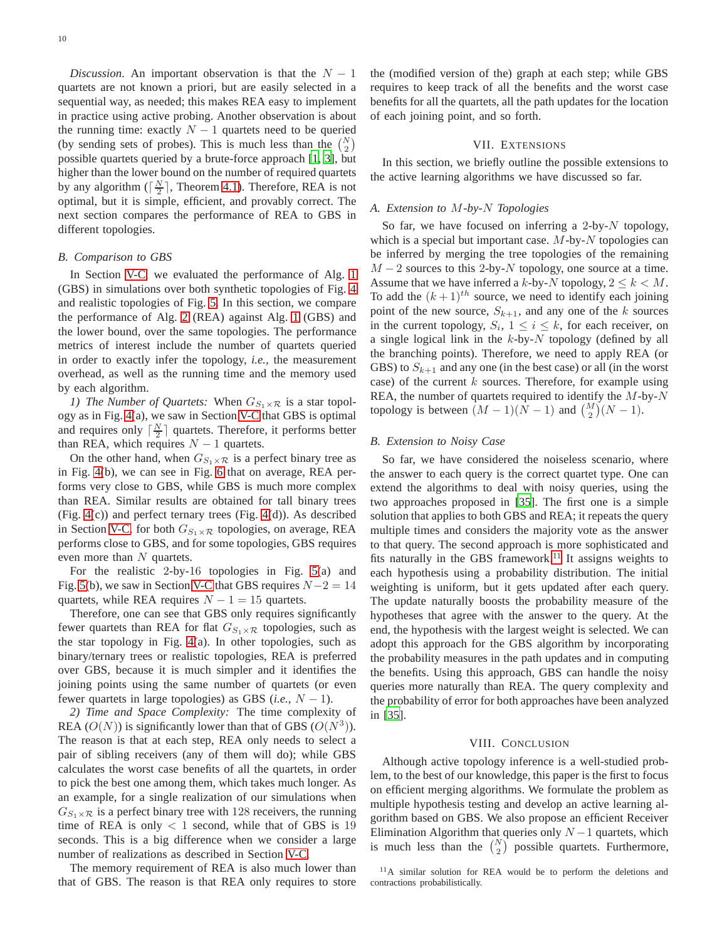*Discussion.* An important observation is that the  $N - 1$ quartets are not known a priori, but are easily selected in a sequential way, as needed; this makes REA easy to implement in practice using active probing. Another observation is about the running time: exactly  $N-1$  quartets need to be queried (by sending sets of probes). This is much less than the  $\binom{N}{2}$ possible quartets queried by a brute-force approach [\[1](#page-10-0), [3\]](#page-10-3), but higher than the lower bound on the number of required quartets by any algorithm ( $\lceil \frac{N}{2} \rceil$ , Theorem [4.1\)](#page-3-4). Therefore, REA is not optimal, but it is simple, efficient, and provably correct. The next section compares the performance of REA to GBS in different topologies.

#### *B. Comparison to GBS*

In Section [V-C,](#page-5-4) we evaluated the performance of Alg. [1](#page-5-1) (GBS) in simulations over both synthetic topologies of Fig. [4](#page-6-0) and realistic topologies of Fig. [5.](#page-6-1) In this section, we compare the performance of Alg. [2](#page-7-1) (REA) against Alg. [1](#page-5-1) (GBS) and the lower bound, over the same topologies. The performance metrics of interest include the number of quartets queried in order to exactly infer the topology, *i.e.,* the measurement overhead, as well as the running time and the memory used by each algorithm.

*1) The Number of Quartets:* When  $G_{S_1 \times \mathcal{R}}$  is a star topology as in Fig. [4\(](#page-6-0)a), we saw in Section [V-C](#page-5-4) that GBS is optimal and requires only  $\lceil \frac{N}{2} \rceil$  quartets. Therefore, it performs better than REA, which requires  $N - 1$  quartets.

On the other hand, when  $G_{S_1 \times \mathcal{R}}$  is a perfect binary tree as in Fig. [4\(](#page-6-0)b), we can see in Fig. [6](#page-6-2) that on average, REA performs very close to GBS, while GBS is much more complex than REA. Similar results are obtained for tall binary trees (Fig. [4\(](#page-6-0)c)) and perfect ternary trees (Fig. [4\(](#page-6-0)d)). As described in Section [V-C,](#page-5-4) for both  $G_{S_1 \times \mathcal{R}}$  topologies, on average, REA performs close to GBS, and for some topologies, GBS requires even more than N quartets.

For the realistic 2-by-16 topologies in Fig. [5\(](#page-6-1)a) and Fig. [5\(](#page-6-1)b), we saw in Section [V-C](#page-5-4) that GBS requires  $N-2 = 14$ quartets, while REA requires  $N - 1 = 15$  quartets.

Therefore, one can see that GBS only requires significantly fewer quartets than REA for flat  $G_{S_1\times R}$  topologies, such as the star topology in Fig. [4\(](#page-6-0)a). In other topologies, such as binary/ternary trees or realistic topologies, REA is preferred over GBS, because it is much simpler and it identifies the joining points using the same number of quartets (or even fewer quartets in large topologies) as GBS  $(i.e., N - 1)$ .

*2) Time and Space Complexity:* The time complexity of REA  $(O(N))$  is significantly lower than that of GBS  $(O(N^3))$ . The reason is that at each step, REA only needs to select a pair of sibling receivers (any of them will do); while GBS calculates the worst case benefits of all the quartets, in order to pick the best one among them, which takes much longer. As an example, for a single realization of our simulations when  $G_{S_1\times R}$  is a perfect binary tree with 128 receivers, the running time of REA is only  $< 1$  second, while that of GBS is 19 seconds. This is a big difference when we consider a large number of realizations as described in Section [V-C.](#page-5-4)

The memory requirement of REA is also much lower than that of GBS. The reason is that REA only requires to store the (modified version of the) graph at each step; while GBS requires to keep track of all the benefits and the worst case benefits for all the quartets, all the path updates for the location of each joining point, and so forth.

## VII. EXTENSIONS

<span id="page-9-0"></span>In this section, we briefly outline the possible extensions to the active learning algorithms we have discussed so far.

#### *A. Extension to* M*-by-*N *Topologies*

So far, we have focused on inferring a 2-by- $N$  topology, which is a special but important case.  $M$ -by- $N$  topologies can be inferred by merging the tree topologies of the remaining  $M-2$  sources to this 2-by-N topology, one source at a time. Assume that we have inferred a k-by-N topology,  $2 \leq k < M$ . To add the  $(k+1)^{th}$  source, we need to identify each joining point of the new source,  $S_{k+1}$ , and any one of the k sources in the current topology,  $S_i$ ,  $1 \le i \le k$ , for each receiver, on a single logical link in the  $k$ -by- $N$  topology (defined by all the branching points). Therefore, we need to apply REA (or GBS) to  $S_{k+1}$  and any one (in the best case) or all (in the worst case) of the current  $k$  sources. Therefore, for example using REA, the number of quartets required to identify the  $M$ -by- $N$ topology is between  $(M-1)(N-1)$  and  $\binom{M}{2}(N-1)$ .

#### *B. Extension to Noisy Case*

So far, we have considered the noiseless scenario, where the answer to each query is the correct quartet type. One can extend the algorithms to deal with noisy queries, using the two approaches proposed in [\[35](#page-11-1)]. The first one is a simple solution that applies to both GBS and REA; it repeats the query multiple times and considers the majority vote as the answer to that query. The second approach is more sophisticated and fits naturally in the GBS framework.<sup>[11](#page-9-2)</sup> It assigns weights to each hypothesis using a probability distribution. The initial weighting is uniform, but it gets updated after each query. The update naturally boosts the probability measure of the hypotheses that agree with the answer to the query. At the end, the hypothesis with the largest weight is selected. We can adopt this approach for the GBS algorithm by incorporating the probability measures in the path updates and in computing the benefits. Using this approach, GBS can handle the noisy queries more naturally than REA. The query complexity and the probability of error for both approaches have been analyzed in [\[35\]](#page-11-1).

# VIII. CONCLUSION

<span id="page-9-1"></span>Although active topology inference is a well-studied problem, to the best of our knowledge, this paper is the first to focus on efficient merging algorithms. We formulate the problem as multiple hypothesis testing and develop an active learning algorithm based on GBS. We also propose an efficient Receiver Elimination Algorithm that queries only  $N-1$  quartets, which is much less than the  $\binom{N}{2}$  possible quartets. Furthermore,

<span id="page-9-2"></span> $11A$  similar solution for REA would be to perform the deletions and contractions probabilistically.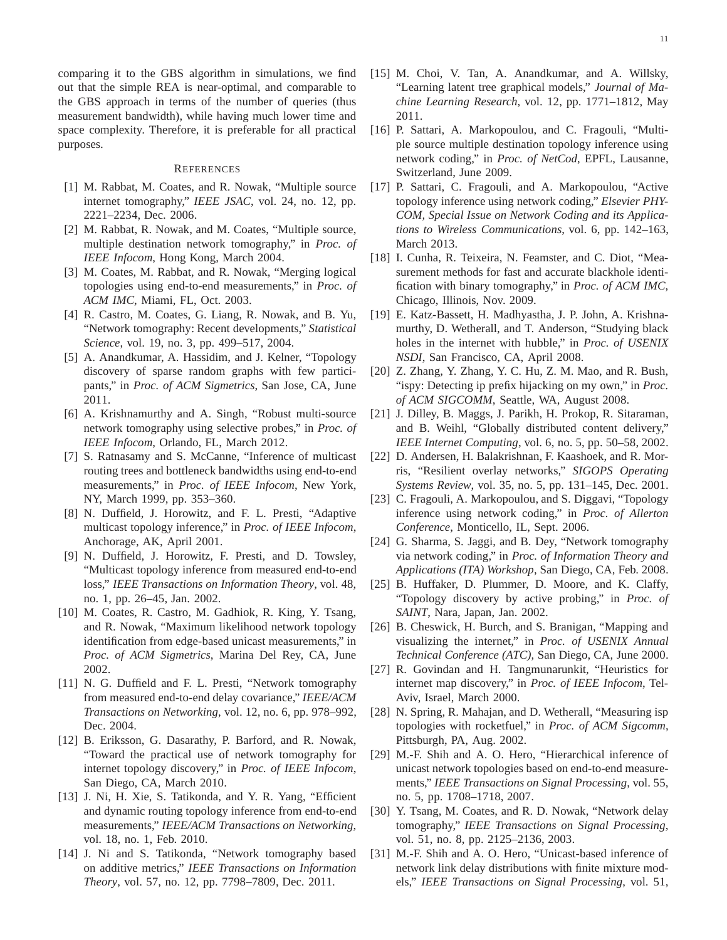comparing it to the GBS algorithm in simulations, we find out that the simple REA is near-optimal, and comparable to the GBS approach in terms of the number of queries (thus measurement bandwidth), while having much lower time and space complexity. Therefore, it is preferable for all practical purposes.

## **REFERENCES**

- <span id="page-10-0"></span>[1] M. Rabbat, M. Coates, and R. Nowak, "Multiple source internet tomography," *IEEE JSAC*, vol. 24, no. 12, pp. 2221–2234, Dec. 2006.
- <span id="page-10-6"></span>[2] M. Rabbat, R. Nowak, and M. Coates, "Multiple source, multiple destination network tomography," in *Proc. of IEEE Infocom*, Hong Kong, March 2004.
- <span id="page-10-3"></span>[3] M. Coates, M. Rabbat, and R. Nowak, "Merging logical topologies using end-to-end measurements," in *Proc. of ACM IMC*, Miami, FL, Oct. 2003.
- <span id="page-10-2"></span>[4] R. Castro, M. Coates, G. Liang, R. Nowak, and B. Yu, "Network tomography: Recent developments," *Statistical Science*, vol. 19, no. 3, pp. 499–517, 2004.
- <span id="page-10-18"></span>[5] A. Anandkumar, A. Hassidim, and J. Kelner, "Topology discovery of sparse random graphs with few participants," in *Proc. of ACM Sigmetrics*, San Jose, CA, June 2011.
- <span id="page-10-1"></span>[6] A. Krishnamurthy and A. Singh, "Robust multi-source network tomography using selective probes," in *Proc. of IEEE Infocom*, Orlando, FL, March 2012.
- <span id="page-10-4"></span>[7] S. Ratnasamy and S. McCanne, "Inference of multicast routing trees and bottleneck bandwidths using end-to-end measurements," in *Proc. of IEEE Infocom*, New York, NY, March 1999, pp. 353–360.
- [8] N. Duffield, J. Horowitz, and F. L. Presti, "Adaptive multicast topology inference," in *Proc. of IEEE Infocom*, Anchorage, AK, April 2001.
- [9] N. Duffield, J. Horowitz, F. Presti, and D. Towsley, "Multicast topology inference from measured end-to-end loss," *IEEE Transactions on Information Theory*, vol. 48, no. 1, pp. 26–45, Jan. 2002.
- [10] M. Coates, R. Castro, M. Gadhiok, R. King, Y. Tsang, and R. Nowak, "Maximum likelihood network topology identification from edge-based unicast measurements," in *Proc. of ACM Sigmetrics*, Marina Del Rey, CA, June 2002.
- <span id="page-10-19"></span>[11] N. G. Duffield and F. L. Presti, "Network tomography from measured end-to-end delay covariance," *IEEE/ACM Transactions on Networking*, vol. 12, no. 6, pp. 978–992, Dec. 2004.
- [12] B. Eriksson, G. Dasarathy, P. Barford, and R. Nowak, "Toward the practical use of network tomography for internet topology discovery," in *Proc. of IEEE Infocom*, San Diego, CA, March 2010.
- [13] J. Ni, H. Xie, S. Tatikonda, and Y. R. Yang, "Efficient and dynamic routing topology inference from end-to-end measurements," *IEEE/ACM Transactions on Networking*, vol. 18, no. 1, Feb. 2010.
- [14] J. Ni and S. Tatikonda, "Network tomography based on additive metrics," *IEEE Transactions on Information Theory*, vol. 57, no. 12, pp. 7798–7809, Dec. 2011.
- <span id="page-10-5"></span>[15] M. Choi, V. Tan, A. Anandkumar, and A. Willsky, "Learning latent tree graphical models," *Journal of Machine Learning Research*, vol. 12, pp. 1771–1812, May 2011.
- <span id="page-10-7"></span>[16] P. Sattari, A. Markopoulou, and C. Fragouli, "Multiple source multiple destination topology inference using network coding," in *Proc. of NetCod*, EPFL, Lausanne, Switzerland, June 2009.
- <span id="page-10-8"></span>[17] P. Sattari, C. Fragouli, and A. Markopoulou, "Active topology inference using network coding," *Elsevier PHY-COM, Special Issue on Network Coding and its Applications to Wireless Communications*, vol. 6, pp. 142–163, March 2013.
- <span id="page-10-12"></span>[18] I. Cunha, R. Teixeira, N. Feamster, and C. Diot, "Measurement methods for fast and accurate blackhole identification with binary tomography," in *Proc. of ACM IMC*, Chicago, Illinois, Nov. 2009.
- <span id="page-10-13"></span>[19] E. Katz-Bassett, H. Madhyastha, J. P. John, A. Krishnamurthy, D. Wetherall, and T. Anderson, "Studying black holes in the internet with hubble," in *Proc. of USENIX NSDI*, San Francisco, CA, April 2008.
- <span id="page-10-14"></span>[20] Z. Zhang, Y. Zhang, Y. C. Hu, Z. M. Mao, and R. Bush, "ispy: Detecting ip prefix hijacking on my own," in *Proc. of ACM SIGCOMM*, Seattle, WA, August 2008.
- <span id="page-10-15"></span>[21] J. Dilley, B. Maggs, J. Parikh, H. Prokop, R. Sitaraman, and B. Weihl, "Globally distributed content delivery," *IEEE Internet Computing*, vol. 6, no. 5, pp. 50–58, 2002.
- <span id="page-10-16"></span>[22] D. Andersen, H. Balakrishnan, F. Kaashoek, and R. Morris, "Resilient overlay networks," *SIGOPS Operating Systems Review*, vol. 35, no. 5, pp. 131–145, Dec. 2001.
- <span id="page-10-9"></span>[23] C. Fragouli, A. Markopoulou, and S. Diggavi, "Topology inference using network coding," in *Proc. of Allerton Conference*, Monticello, IL, Sept. 2006.
- <span id="page-10-10"></span>[24] G. Sharma, S. Jaggi, and B. Dey, "Network tomography via network coding," in *Proc. of Information Theory and Applications (ITA) Workshop*, San Diego, CA, Feb. 2008.
- <span id="page-10-20"></span>[25] B. Huffaker, D. Plummer, D. Moore, and K. Claffy, "Topology discovery by active probing," in *Proc. of SAINT*, Nara, Japan, Jan. 2002.
- [26] B. Cheswick, H. Burch, and S. Branigan, "Mapping and visualizing the internet," in *Proc. of USENIX Annual Technical Conference (ATC)*, San Diego, CA, June 2000.
- [27] R. Govindan and H. Tangmunarunkit, "Heuristics for internet map discovery," in *Proc. of IEEE Infocom*, Tel-Aviv, Israel, March 2000.
- <span id="page-10-11"></span>[28] N. Spring, R. Mahajan, and D. Wetherall, "Measuring isp topologies with rocketfuel," in *Proc. of ACM Sigcomm*, Pittsburgh, PA, Aug. 2002.
- <span id="page-10-17"></span>[29] M.-F. Shih and A. O. Hero, "Hierarchical inference of unicast network topologies based on end-to-end measurements," *IEEE Transactions on Signal Processing*, vol. 55, no. 5, pp. 1708–1718, 2007.
- [30] Y. Tsang, M. Coates, and R. D. Nowak, "Network delay tomography," *IEEE Transactions on Signal Processing*, vol. 51, no. 8, pp. 2125–2136, 2003.
- [31] M.-F. Shih and A. O. Hero, "Unicast-based inference of network link delay distributions with finite mixture models," *IEEE Transactions on Signal Processing*, vol. 51,